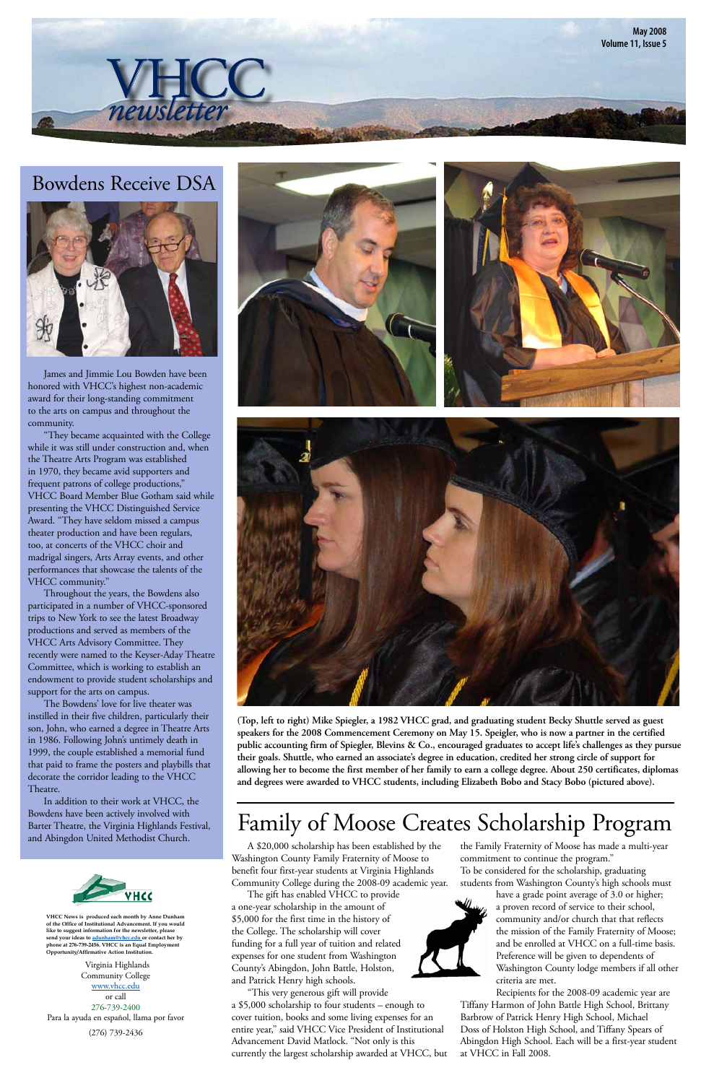A \$20,000 scholarship has been established by the Washington County Family Fraternity of Moose to benefit four first-year students at Virginia Highlands Community College during the 2008-09 academic year.

 The gift has enabled VHCC to provide a one-year scholarship in the amount of \$5,000 for the first time in the history of the College. The scholarship will cover funding for a full year of tuition and related expenses for one student from Washington County's Abingdon, John Battle, Holston, and Patrick Henry high schools.

 "This very generous gift will provide a \$5,000 scholarship to four students – enough to cover tuition, books and some living expenses for an entire year," said VHCC Vice President of Institutional Advancement David Matlock. "Not only is this currently the largest scholarship awarded at VHCC, but

**May 2008 Volume 11, Issue 5** newsletter

> the Family Fraternity of Moose has made a multi-year commitment to continue the program." To be considered for the scholarship, graduating

> students from Washington County's high schools must have a grade point average of 3.0 or higher;



a proven record of service to their school, community and/or church that that reflects the mission of the Family Fraternity of Moose; and be enrolled at VHCC on a full-time basis. Preference will be given to dependents of Washington County lodge members if all other criteria are met.

Recipients for the 2008-09 academic year are Tiffany Harmon of John Battle High School, Brittany Barbrow of Patrick Henry High School, Michael Doss of Holston High School, and Tiffany Spears of Abingdon High School. Each will be a first-year student at VHCC in Fall 2008.

### Bowdens Receive DSA



 James and Jimmie Lou Bowden have been honored with VHCC's highest non-academic award for their long-standing commitment to the arts on campus and throughout the community.

 "They became acquainted with the College while it was still under construction and, when the Theatre Arts Program was established in 1970, they became avid supporters and frequent patrons of college productions," VHCC Board Member Blue Gotham said while presenting the VHCC Distinguished Service Award. "They have seldom missed a campus theater production and have been regulars, too, at concerts of the VHCC choir and madrigal singers, Arts Array events, and other performances that showcase the talents of the VHCC community."

 Throughout the years, the Bowdens also participated in a number of VHCC-sponsored trips to New York to see the latest Broadway productions and served as members of the VHCC Arts Advisory Committee. They recently were named to the Keyser-Aday Theatre Committee, which is working to establish an endowment to provide student scholarships and support for the arts on campus.

 The Bowdens' love for live theater was instilled in their five children, particularly their son, John, who earned a degree in Theatre Arts in 1986. Following John's untimely death in 1999, the couple established a memorial fund that paid to frame the posters and playbills that decorate the corridor leading to the VHCC Theatre.







 In addition to their work at VHCC, the Bowdens have been actively involved with Barter Theatre, the Virginia Highlands Festival, and Abingdon United Methodist Church.



## Family of Moose Creates Scholarship Program

**(Top, left to right) Mike Spiegler, a 1982 VHCC grad, and graduating student Becky Shuttle served as guest speakers for the 2008 Commencement Ceremony on May 15. Speigler, who is now a partner in the certified public accounting firm of Spiegler, Blevins & Co., encouraged graduates to accept life's challenges as they pursue their goals. Shuttle, who earned an associate's degree in education, credited her strong circle of support for allowing her to become the first member of her family to earn a college degree. About 250 certificates, diplomas and degrees were awarded to VHCC students, including Elizabeth Bobo and Stacy Bobo (pictured above).**

Virginia Highlands Community College [www.vhcc.edu](http://www.vhcc.edu) or call 276-739-2400 Para la ayuda en español, llama por favor

(276) 739-2436

**VHCC News is produced each month by Anne Dunham of the Office of Institutional Advancement. If you would like to suggest information for the newsletter, please send your ideas to [adunham@vhcc.ed](mailto:adunham@vhcc.edu)u or contact her by phone at 276-739-2456. VHCC is an Equal Employment Opportunity/Affirmative Action Institution.**